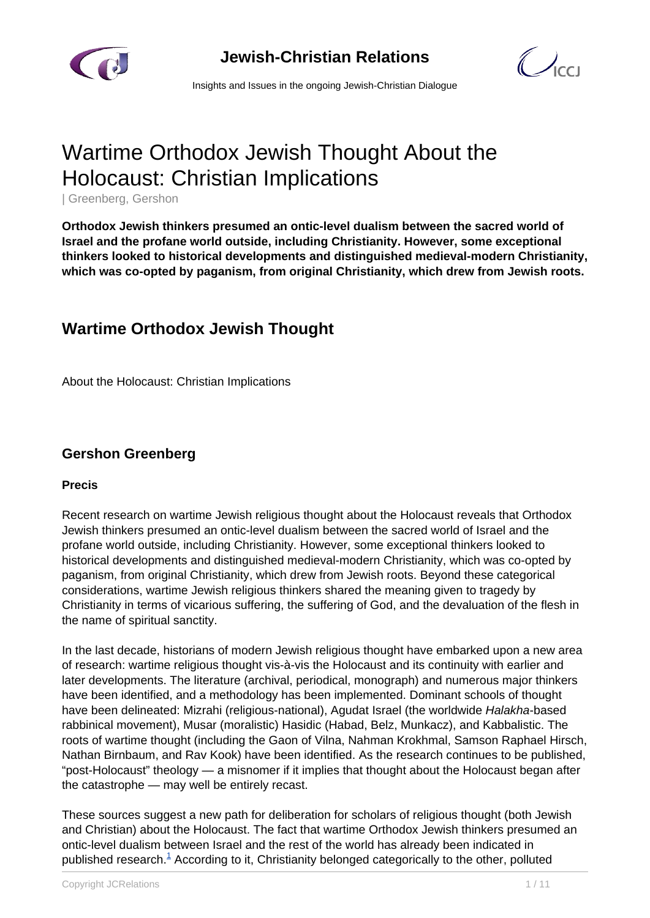



Insights and Issues in the ongoing Jewish-Christian Dialogue

# Wartime Orthodox Jewish Thought About the Holocaust: Christian Implications

| Greenberg, Gershon

**Orthodox Jewish thinkers presumed an ontic-level dualism between the sacred world of Israel and the profane world outside, including Christianity. However, some exceptional thinkers looked to historical developments and distinguished medieval-modern Christianity, which was co-opted by paganism, from original Christianity, which drew from Jewish roots.**

## **Wartime Orthodox Jewish Thought**

About the Holocaust: Christian Implications

### **Gershon Greenberg**

#### **Precis**

Recent research on wartime Jewish religious thought about the Holocaust reveals that Orthodox Jewish thinkers presumed an ontic-level dualism between the sacred world of Israel and the profane world outside, including Christianity. However, some exceptional thinkers looked to historical developments and distinguished medieval-modern Christianity, which was co-opted by paganism, from original Christianity, which drew from Jewish roots. Beyond these categorical considerations, wartime Jewish religious thinkers shared the meaning given to tragedy by Christianity in terms of vicarious suffering, the suffering of God, and the devaluation of the flesh in the name of spiritual sanctity.

In the last decade, historians of modern Jewish religious thought have embarked upon a new area of research: wartime religious thought vis-à-vis the Holocaust and its continuity with earlier and later developments. The literature (archival, periodical, monograph) and numerous major thinkers have been identified, and a methodology has been implemented. Dominant schools of thought have been delineated: Mizrahi (religious-national), Agudat Israel (the worldwide Halakha-based rabbinical movement), Musar (moralistic) Hasidic (Habad, Belz, Munkacz), and Kabbalistic. The roots of wartime thought (including the Gaon of Vilna, Nahman Krokhmal, Samson Raphael Hirsch, Nathan Birnbaum, and Rav Kook) have been identified. As the research continues to be published, "post-Holocaust" theology — a misnomer if it implies that thought about the Holocaust began after the catastrophe — may well be entirely recast.

These sources suggest a new path for deliberation for scholars of religious thought (both Jewish and Christian) about the Holocaust. The fact that wartime Orthodox Jewish thinkers presumed an ontic-level dualism between Israel and the rest of the world has already been indicated in published research.<sup>[1](http://#1.)</sup> According to it, Christianity belonged categorically to the other, polluted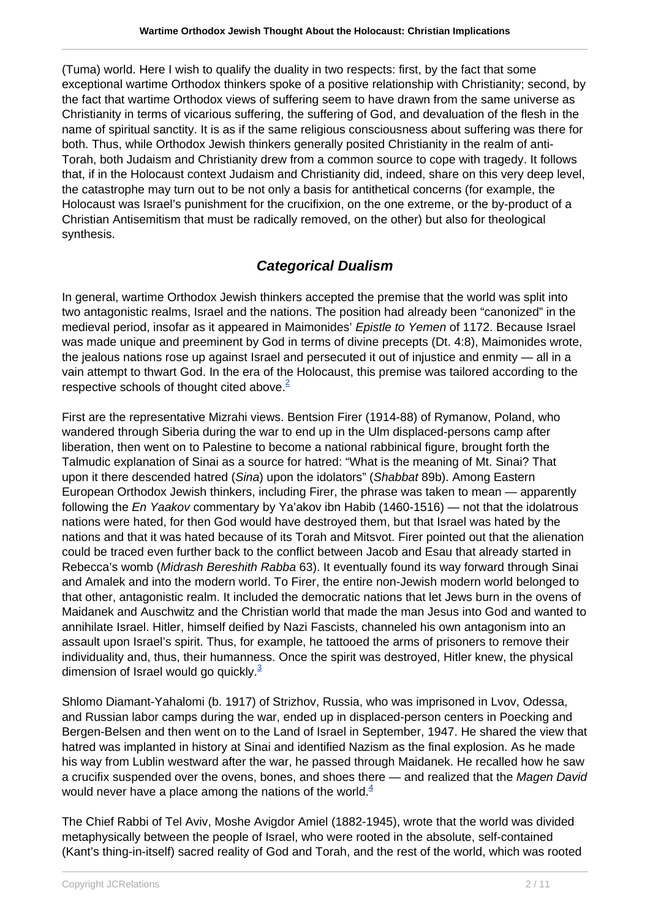(Tuma) world. Here I wish to qualify the duality in two respects: first, by the fact that some exceptional wartime Orthodox thinkers spoke of a positive relationship with Christianity; second, by the fact that wartime Orthodox views of suffering seem to have drawn from the same universe as Christianity in terms of vicarious suffering, the suffering of God, and devaluation of the flesh in the name of spiritual sanctity. It is as if the same religious consciousness about suffering was there for both. Thus, while Orthodox Jewish thinkers generally posited Christianity in the realm of anti-Torah, both Judaism and Christianity drew from a common source to cope with tragedy. It follows that, if in the Holocaust context Judaism and Christianity did, indeed, share on this very deep level, the catastrophe may turn out to be not only a basis for antithetical concerns (for example, the Holocaust was Israel's punishment for the crucifixion, on the one extreme, or the by-product of a Christian Antisemitism that must be radically removed, on the other) but also for theological synthesis.

## **Categorical Dualism**

In general, wartime Orthodox Jewish thinkers accepted the premise that the world was split into two antagonistic realms, Israel and the nations. The position had already been "canonized" in the medieval period, insofar as it appeared in Maimonides' Epistle to Yemen of 1172. Because Israel was made unique and preeminent by God in terms of divine precepts (Dt. 4:8), Maimonides wrote, the jealous nations rose up against Israel and persecuted it out of injustice and enmity — all in a vain attempt to thwart God. In the era of the Holocaust, this premise was tailored according to the respective schools of thought cited above. $2$ 

First are the representative Mizrahi views. Bentsion Firer (1914-88) of Rymanow, Poland, who wandered through Siberia during the war to end up in the Ulm displaced-persons camp after liberation, then went on to Palestine to become a national rabbinical figure, brought forth the Talmudic explanation of Sinai as a source for hatred: "What is the meaning of Mt. Sinai? That upon it there descended hatred (Sina) upon the idolators" (Shabbat 89b). Among Eastern European Orthodox Jewish thinkers, including Firer, the phrase was taken to mean — apparently following the En Yaakov commentary by Ya'akov ibn Habib (1460-1516) — not that the idolatrous nations were hated, for then God would have destroyed them, but that Israel was hated by the nations and that it was hated because of its Torah and Mitsvot. Firer pointed out that the alienation could be traced even further back to the conflict between Jacob and Esau that already started in Rebecca's womb (Midrash Bereshith Rabba 63). It eventually found its way forward through Sinai and Amalek and into the modern world. To Firer, the entire non-Jewish modern world belonged to that other, antagonistic realm. It included the democratic nations that let Jews burn in the ovens of Maidanek and Auschwitz and the Christian world that made the man Jesus into God and wanted to annihilate Israel. Hitler, himself deified by Nazi Fascists, channeled his own antagonism into an assault upon Israel's spirit. Thus, for example, he tattooed the arms of prisoners to remove their individuality and, thus, their humanness. Once the spirit was destroyed, Hitler knew, the physical dimension of Israel would go quickly. $3$ 

Shlomo Diamant-Yahalomi (b. 1917) of Strizhov, Russia, who was imprisoned in Lvov, Odessa, and Russian labor camps during the war, ended up in displaced-person centers in Poecking and Bergen-Belsen and then went on to the Land of Israel in September, 1947. He shared the view that hatred was implanted in history at Sinai and identified Nazism as the final explosion. As he made his way from Lublin westward after the war, he passed through Maidanek. He recalled how he saw a crucifix suspended over the ovens, bones, and shoes there — and realized that the Magen David would never have a place among the nations of the world. $4/4$  $4/4$ 

The Chief Rabbi of Tel Aviv, Moshe Avigdor Amiel (1882-1945), wrote that the world was divided metaphysically between the people of Israel, who were rooted in the absolute, self-contained (Kant's thing-in-itself) sacred reality of God and Torah, and the rest of the world, which was rooted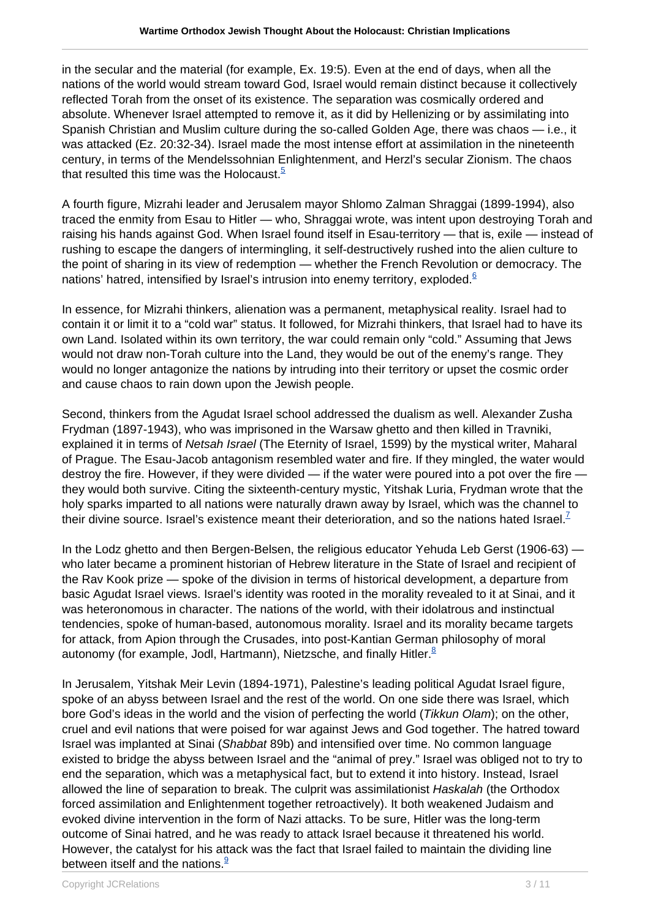in the secular and the material (for example, Ex. 19:5). Even at the end of days, when all the nations of the world would stream toward God, Israel would remain distinct because it collectively reflected Torah from the onset of its existence. The separation was cosmically ordered and absolute. Whenever Israel attempted to remove it, as it did by Hellenizing or by assimilating into Spanish Christian and Muslim culture during the so-called Golden Age, there was chaos — i.e., it was attacked (Ez. 20:32-34). Israel made the most intense effort at assimilation in the nineteenth century, in terms of the Mendelssohnian Enlightenment, and Herzl's secular Zionism. The chaos that resulted this time was the Holocaust. $5$ 

A fourth figure, Mizrahi leader and Jerusalem mayor Shlomo Zalman Shraggai (1899-1994), also traced the enmity from Esau to Hitler — who, Shraggai wrote, was intent upon destroying Torah and raising his hands against God. When Israel found itself in Esau-territory — that is, exile — instead of rushing to escape the dangers of intermingling, it self-destructively rushed into the alien culture to the point of sharing in its view of redemption — whether the French Revolution or democracy. The nations' hatred, intensified by Israel's intrusion into enemy territory, exploded.<sup>[6](http://#6.)</sup>

In essence, for Mizrahi thinkers, alienation was a permanent, metaphysical reality. Israel had to contain it or limit it to a "cold war" status. It followed, for Mizrahi thinkers, that Israel had to have its own Land. Isolated within its own territory, the war could remain only "cold." Assuming that Jews would not draw non-Torah culture into the Land, they would be out of the enemy's range. They would no longer antagonize the nations by intruding into their territory or upset the cosmic order and cause chaos to rain down upon the Jewish people.

Second, thinkers from the Agudat Israel school addressed the dualism as well. Alexander Zusha Frydman (1897-1943), who was imprisoned in the Warsaw ghetto and then killed in Travniki, explained it in terms of Netsah Israel (The Eternity of Israel, 1599) by the mystical writer, Maharal of Prague. The Esau-Jacob antagonism resembled water and fire. If they mingled, the water would destroy the fire. However, if they were divided — if the water were poured into a pot over the fire they would both survive. Citing the sixteenth-century mystic, Yitshak Luria, Frydman wrote that the holy sparks imparted to all nations were naturally drawn away by Israel, which was the channel to their divine source. Israel's existence meant their deterioration, and so the nations hated Israel.<sup>[7](http://#7.)</sup>

In the Lodz ghetto and then Bergen-Belsen, the religious educator Yehuda Leb Gerst (1906-63) who later became a prominent historian of Hebrew literature in the State of Israel and recipient of the Rav Kook prize — spoke of the division in terms of historical development, a departure from basic Agudat Israel views. Israel's identity was rooted in the morality revealed to it at Sinai, and it was heteronomous in character. The nations of the world, with their idolatrous and instinctual tendencies, spoke of human-based, autonomous morality. Israel and its morality became targets for attack, from Apion through the Crusades, into post-Kantian German philosophy of moral autonomy (for example, Jodl, Hartmann), Nietzsche, and finally Hitler. $8$ 

In Jerusalem, Yitshak Meir Levin (1894-1971), Palestine's leading political Agudat Israel figure, spoke of an abyss between Israel and the rest of the world. On one side there was Israel, which bore God's ideas in the world and the vision of perfecting the world (Tikkun Olam); on the other, cruel and evil nations that were poised for war against Jews and God together. The hatred toward Israel was implanted at Sinai (Shabbat 89b) and intensified over time. No common language existed to bridge the abyss between Israel and the "animal of prey." Israel was obliged not to try to end the separation, which was a metaphysical fact, but to extend it into history. Instead, Israel allowed the line of separation to break. The culprit was assimilationist Haskalah (the Orthodox forced assimilation and Enlightenment together retroactively). It both weakened Judaism and evoked divine intervention in the form of Nazi attacks. To be sure, Hitler was the long-term outcome of Sinai hatred, and he was ready to attack Israel because it threatened his world. However, the catalyst for his attack was the fact that Israel failed to maintain the dividing line between itself and the nations. $\frac{9}{5}$  $\frac{9}{5}$  $\frac{9}{5}$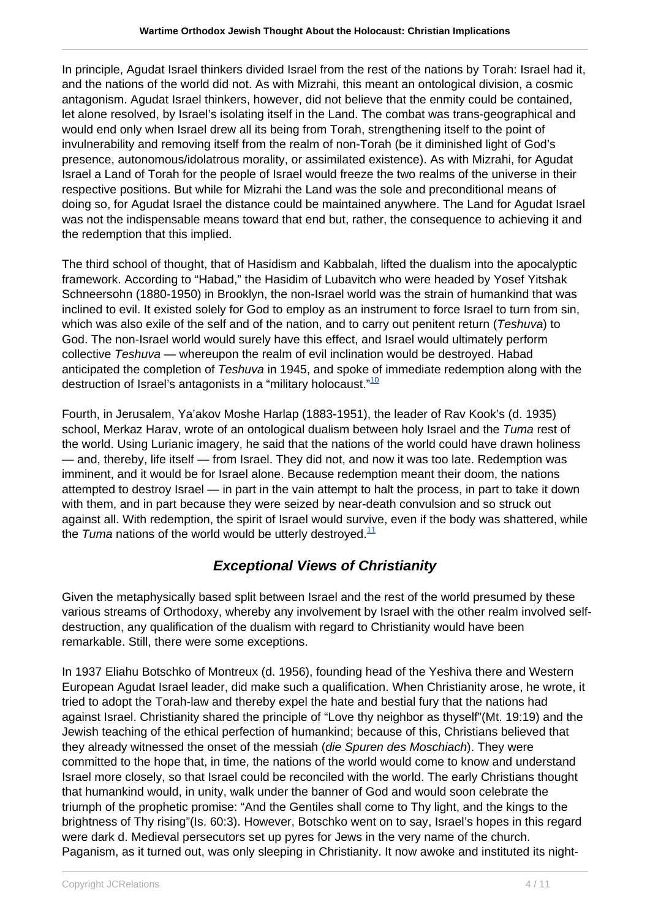In principle, Agudat Israel thinkers divided Israel from the rest of the nations by Torah: Israel had it, and the nations of the world did not. As with Mizrahi, this meant an ontological division, a cosmic antagonism. Agudat Israel thinkers, however, did not believe that the enmity could be contained, let alone resolved, by Israel's isolating itself in the Land. The combat was trans-geographical and would end only when Israel drew all its being from Torah, strengthening itself to the point of invulnerability and removing itself from the realm of non-Torah (be it diminished light of God's presence, autonomous/idolatrous morality, or assimilated existence). As with Mizrahi, for Agudat Israel a Land of Torah for the people of Israel would freeze the two realms of the universe in their respective positions. But while for Mizrahi the Land was the sole and preconditional means of doing so, for Agudat Israel the distance could be maintained anywhere. The Land for Agudat Israel was not the indispensable means toward that end but, rather, the consequence to achieving it and the redemption that this implied.

The third school of thought, that of Hasidism and Kabbalah, lifted the dualism into the apocalyptic framework. According to "Habad," the Hasidim of Lubavitch who were headed by Yosef Yitshak Schneersohn (1880-1950) in Brooklyn, the non-Israel world was the strain of humankind that was inclined to evil. It existed solely for God to employ as an instrument to force Israel to turn from sin, which was also exile of the self and of the nation, and to carry out penitent return (Teshuva) to God. The non-Israel world would surely have this effect, and Israel would ultimately perform collective Teshuva — whereupon the realm of evil inclination would be destroved. Habad anticipated the completion of Teshuva in 1945, and spoke of immediate redemption along with the destruction of Israel's antagonists in a "military holocaust."<sup>[10](http://#10.)</sup>

Fourth, in Jerusalem, Ya'akov Moshe Harlap (1883-1951), the leader of Rav Kook's (d. 1935) school, Merkaz Harav, wrote of an ontological dualism between holy Israel and the Tuma rest of the world. Using Lurianic imagery, he said that the nations of the world could have drawn holiness — and, thereby, life itself — from Israel. They did not, and now it was too late. Redemption was imminent, and it would be for Israel alone. Because redemption meant their doom, the nations attempted to destroy Israel — in part in the vain attempt to halt the process, in part to take it down with them, and in part because they were seized by near-death convulsion and so struck out against all. With redemption, the spirit of Israel would survive, even if the body was shattered, while the Tuma nations of the world would be utterly destroyed. $<sup>11</sup>$  $<sup>11</sup>$  $<sup>11</sup>$ </sup>

## **Exceptional Views of Christianity**

Given the metaphysically based split between Israel and the rest of the world presumed by these various streams of Orthodoxy, whereby any involvement by Israel with the other realm involved selfdestruction, any qualification of the dualism with regard to Christianity would have been remarkable. Still, there were some exceptions.

In 1937 Eliahu Botschko of Montreux (d. 1956), founding head of the Yeshiva there and Western European Agudat Israel leader, did make such a qualification. When Christianity arose, he wrote, it tried to adopt the Torah-law and thereby expel the hate and bestial fury that the nations had against Israel. Christianity shared the principle of "Love thy neighbor as thyself"(Mt. 19:19) and the Jewish teaching of the ethical perfection of humankind; because of this, Christians believed that they already witnessed the onset of the messiah (die Spuren des Moschiach). They were committed to the hope that, in time, the nations of the world would come to know and understand Israel more closely, so that Israel could be reconciled with the world. The early Christians thought that humankind would, in unity, walk under the banner of God and would soon celebrate the triumph of the prophetic promise: "And the Gentiles shall come to Thy light, and the kings to the brightness of Thy rising"(Is. 60:3). However, Botschko went on to say, Israel's hopes in this regard were dark d. Medieval persecutors set up pyres for Jews in the very name of the church. Paganism, as it turned out, was only sleeping in Christianity. It now awoke and instituted its night-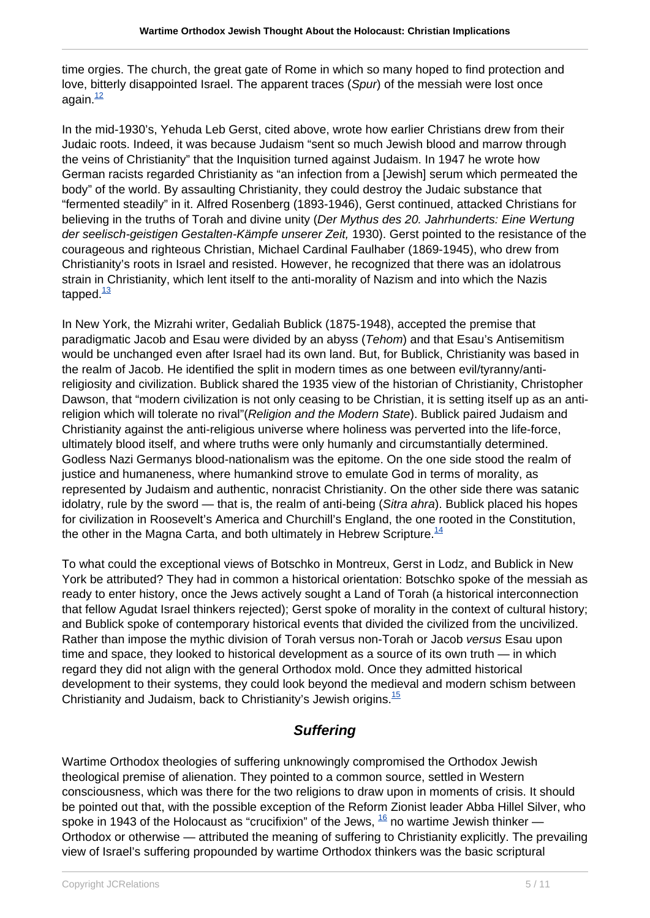time orgies. The church, the great gate of Rome in which so many hoped to find protection and love, bitterly disappointed Israel. The apparent traces (Spur) of the messiah were lost once again $\frac{12}{2}$  $\frac{12}{2}$  $\frac{12}{2}$ 

In the mid-1930's, Yehuda Leb Gerst, cited above, wrote how earlier Christians drew from their Judaic roots. Indeed, it was because Judaism "sent so much Jewish blood and marrow through the veins of Christianity" that the Inquisition turned against Judaism. In 1947 he wrote how German racists regarded Christianity as "an infection from a [Jewish] serum which permeated the body" of the world. By assaulting Christianity, they could destroy the Judaic substance that "fermented steadily" in it. Alfred Rosenberg (1893-1946), Gerst continued, attacked Christians for believing in the truths of Torah and divine unity (Der Mythus des 20. Jahrhunderts: Eine Wertung der seelisch-geistigen Gestalten-Kämpfe unserer Zeit, 1930). Gerst pointed to the resistance of the courageous and righteous Christian, Michael Cardinal Faulhaber (1869-1945), who drew from Christianity's roots in Israel and resisted. However, he recognized that there was an idolatrous strain in Christianity, which lent itself to the anti-morality of Nazism and into which the Nazis tapped. $\frac{13}{2}$  $\frac{13}{2}$  $\frac{13}{2}$ 

In New York, the Mizrahi writer, Gedaliah Bublick (1875-1948), accepted the premise that paradigmatic Jacob and Esau were divided by an abyss (Tehom) and that Esau's Antisemitism would be unchanged even after Israel had its own land. But, for Bublick, Christianity was based in the realm of Jacob. He identified the split in modern times as one between evil/tyranny/antireligiosity and civilization. Bublick shared the 1935 view of the historian of Christianity, Christopher Dawson, that "modern civilization is not only ceasing to be Christian, it is setting itself up as an antireligion which will tolerate no rival" (Religion and the Modern State). Bublick paired Judaism and Christianity against the anti-religious universe where holiness was perverted into the life-force, ultimately blood itself, and where truths were only humanly and circumstantially determined. Godless Nazi Germanys blood-nationalism was the epitome. On the one side stood the realm of justice and humaneness, where humankind strove to emulate God in terms of morality, as represented by Judaism and authentic, nonracist Christianity. On the other side there was satanic idolatry, rule by the sword — that is, the realm of anti-being (Sitra ahra). Bublick placed his hopes for civilization in Roosevelt's America and Churchill's England, the one rooted in the Constitution, the other in the Magna Carta, and both ultimately in Hebrew Scripture.<sup>[14](http://#14.)</sup>

To what could the exceptional views of Botschko in Montreux, Gerst in Lodz, and Bublick in New York be attributed? They had in common a historical orientation: Botschko spoke of the messiah as ready to enter history, once the Jews actively sought a Land of Torah (a historical interconnection that fellow Agudat Israel thinkers rejected); Gerst spoke of morality in the context of cultural history; and Bublick spoke of contemporary historical events that divided the civilized from the uncivilized. Rather than impose the mythic division of Torah versus non-Torah or Jacob versus Esau upon time and space, they looked to historical development as a source of its own truth — in which regard they did not align with the general Orthodox mold. Once they admitted historical development to their systems, they could look beyond the medieval and modern schism between Christianity and Judaism, back to Christianity's Jewish origins.  $\frac{15}{15}$  $\frac{15}{15}$  $\frac{15}{15}$ 

## **Suffering**

Wartime Orthodox theologies of suffering unknowingly compromised the Orthodox Jewish theological premise of alienation. They pointed to a common source, settled in Western consciousness, which was there for the two religions to draw upon in moments of crisis. It should be pointed out that, with the possible exception of the Reform Zionist leader Abba Hillel Silver, who spoke in 1943 of the Holocaust as "crucifixion" of the Jews,  $^{16}$  $^{16}$  $^{16}$  no wartime Jewish thinker — Orthodox or otherwise — attributed the meaning of suffering to Christianity explicitly. The prevailing view of Israel's suffering propounded by wartime Orthodox thinkers was the basic scriptural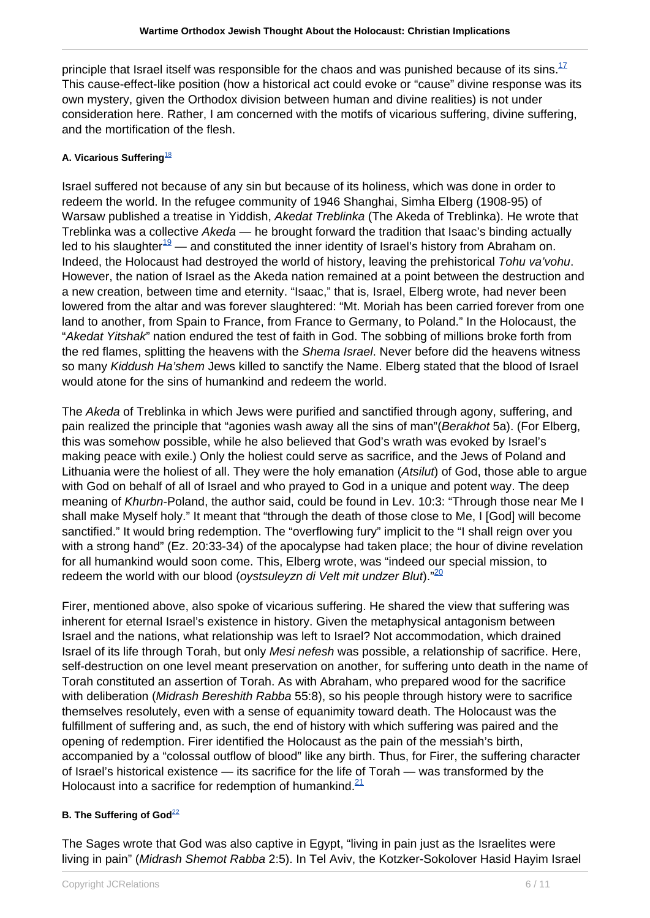principle that Israel itself was responsible for the chaos and was punished because of its sins. $17$ This cause-effect-like position (how a historical act could evoke or "cause" divine response was its own mystery, given the Orthodox division between human and divine realities) is not under consideration here. Rather, I am concerned with the motifs of vicarious suffering, divine suffering, and the mortification of the flesh.

#### **A. Vicarious Suffering**[18](http://#18.)

Israel suffered not because of any sin but because of its holiness, which was done in order to redeem the world. In the refugee community of 1946 Shanghai, Simha Elberg (1908-95) of Warsaw published a treatise in Yiddish, Akedat Treblinka (The Akeda of Treblinka). He wrote that Treblinka was a collective Akeda — he brought forward the tradition that Isaac's binding actually led to his slaughter<sup>[19](http://#19.)</sup> — and constituted the inner identity of Israel's history from Abraham on. Indeed, the Holocaust had destroyed the world of history, leaving the prehistorical Tohu va'vohu. However, the nation of Israel as the Akeda nation remained at a point between the destruction and a new creation, between time and eternity. "Isaac," that is, Israel, Elberg wrote, had never been lowered from the altar and was forever slaughtered: "Mt. Moriah has been carried forever from one land to another, from Spain to France, from France to Germany, to Poland." In the Holocaust, the "Akedat Yitshak" nation endured the test of faith in God. The sobbing of millions broke forth from the red flames, splitting the heavens with the Shema Israel. Never before did the heavens witness so many Kiddush Ha'shem Jews killed to sanctify the Name. Elberg stated that the blood of Israel would atone for the sins of humankind and redeem the world.

The Akeda of Treblinka in which Jews were purified and sanctified through agony, suffering, and pain realized the principle that "agonies wash away all the sins of man"(Berakhot 5a). (For Elberg, this was somehow possible, while he also believed that God's wrath was evoked by Israel's making peace with exile.) Only the holiest could serve as sacrifice, and the Jews of Poland and Lithuania were the holiest of all. They were the holy emanation (Atsilut) of God, those able to argue with God on behalf of all of Israel and who prayed to God in a unique and potent way. The deep meaning of Khurbn-Poland, the author said, could be found in Lev. 10:3: "Through those near Me I shall make Myself holy." It meant that "through the death of those close to Me, I [God] will become sanctified." It would bring redemption. The "overflowing fury" implicit to the "I shall reign over you with a strong hand" (Ez. 20:33-34) of the apocalypse had taken place; the hour of divine revelation for all humankind would soon come. This, Elberg wrote, was "indeed our special mission, to redeem the world with our blood (oystsuleyzn di Velt mit undzer Blut). $\frac{20}{20}$  $\frac{20}{20}$  $\frac{20}{20}$ 

Firer, mentioned above, also spoke of vicarious suffering. He shared the view that suffering was inherent for eternal Israel's existence in history. Given the metaphysical antagonism between Israel and the nations, what relationship was left to Israel? Not accommodation, which drained Israel of its life through Torah, but only Mesi nefesh was possible, a relationship of sacrifice. Here, self-destruction on one level meant preservation on another, for suffering unto death in the name of Torah constituted an assertion of Torah. As with Abraham, who prepared wood for the sacrifice with deliberation (Midrash Bereshith Rabba 55:8), so his people through history were to sacrifice themselves resolutely, even with a sense of equanimity toward death. The Holocaust was the fulfillment of suffering and, as such, the end of history with which suffering was paired and the opening of redemption. Firer identified the Holocaust as the pain of the messiah's birth, accompanied by a "colossal outflow of blood" like any birth. Thus, for Firer, the suffering character of Israel's historical existence — its sacrifice for the life of Torah — was transformed by the Holocaust into a sacrifice for redemption of humankind. $21$ 

#### **B. The Suffering of God**<sup>[22](http://#22.)</sup>

The Sages wrote that God was also captive in Egypt, "living in pain just as the Israelites were living in pain" (Midrash Shemot Rabba 2:5). In Tel Aviv, the Kotzker-Sokolover Hasid Hayim Israel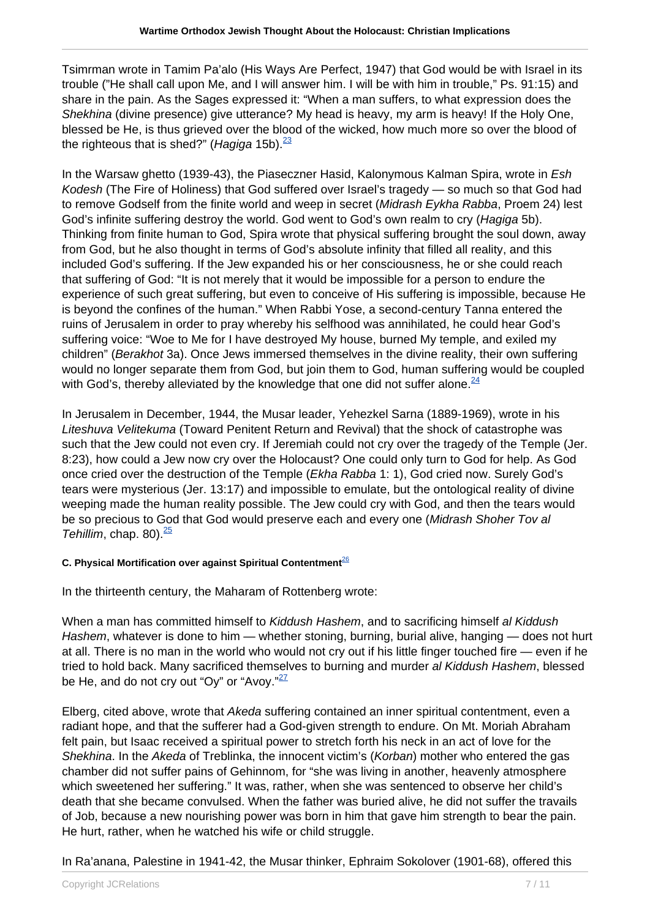Tsimrman wrote in Tamim Pa'alo (His Ways Are Perfect, 1947) that God would be with Israel in its trouble ("He shall call upon Me, and I will answer him. I will be with him in trouble," Ps. 91:15) and share in the pain. As the Sages expressed it: "When a man suffers, to what expression does the Shekhina (divine presence) give utterance? My head is heavy, my arm is heavy! If the Holy One, blessed be He, is thus grieved over the blood of the wicked, how much more so over the blood of the righteous that is shed?" (*Hagiga* 15b).  $\frac{23}{2}$  $\frac{23}{2}$  $\frac{23}{2}$ 

In the Warsaw ghetto (1939-43), the Piaseczner Hasid, Kalonymous Kalman Spira, wrote in Esh Kodesh (The Fire of Holiness) that God suffered over Israel's tragedy — so much so that God had to remove Godself from the finite world and weep in secret (Midrash Eykha Rabba, Proem 24) lest God's infinite suffering destroy the world. God went to God's own realm to cry (Hagiga 5b). Thinking from finite human to God, Spira wrote that physical suffering brought the soul down, away from God, but he also thought in terms of God's absolute infinity that filled all reality, and this included God's suffering. If the Jew expanded his or her consciousness, he or she could reach that suffering of God: "It is not merely that it would be impossible for a person to endure the experience of such great suffering, but even to conceive of His suffering is impossible, because He is beyond the confines of the human." When Rabbi Yose, a second-century Tanna entered the ruins of Jerusalem in order to pray whereby his selfhood was annihilated, he could hear God's suffering voice: "Woe to Me for I have destroyed My house, burned My temple, and exiled my children" (Berakhot 3a). Once Jews immersed themselves in the divine reality, their own suffering would no longer separate them from God, but join them to God, human suffering would be coupled with God's, thereby alleviated by the knowledge that one did not suffer alone.  $24$ 

In Jerusalem in December, 1944, the Musar leader, Yehezkel Sarna (1889-1969), wrote in his Liteshuva Velitekuma (Toward Penitent Return and Revival) that the shock of catastrophe was such that the Jew could not even cry. If Jeremiah could not cry over the tragedy of the Temple (Jer. 8:23), how could a Jew now cry over the Holocaust? One could only turn to God for help. As God once cried over the destruction of the Temple (Ekha Rabba 1: 1), God cried now. Surely God's tears were mysterious (Jer. 13:17) and impossible to emulate, but the ontological reality of divine weeping made the human reality possible. The Jew could cry with God, and then the tears would be so precious to God that God would preserve each and every one (Midrash Shoher Tov al Tehillim, chap. 80). $\frac{25}{2}$  $\frac{25}{2}$  $\frac{25}{2}$ 

#### **C. Physical Mortification over against Spiritual Contentment**[26](http://#26.)

In the thirteenth century, the Maharam of Rottenberg wrote:

When a man has committed himself to Kiddush Hashem, and to sacrificing himself al Kiddush Hashem, whatever is done to him — whether stoning, burning, burial alive, hanging — does not hurt at all. There is no man in the world who would not cry out if his little finger touched fire — even if he tried to hold back. Many sacrificed themselves to burning and murder al Kiddush Hashem, blessed be He, and do not cry out "Oy" or "Avoy." $27$ 

Elberg, cited above, wrote that Akeda suffering contained an inner spiritual contentment, even a radiant hope, and that the sufferer had a God-given strength to endure. On Mt. Moriah Abraham felt pain, but Isaac received a spiritual power to stretch forth his neck in an act of love for the Shekhina. In the Akeda of Treblinka, the innocent victim's (Korban) mother who entered the gas chamber did not suffer pains of Gehinnom, for "she was living in another, heavenly atmosphere which sweetened her suffering." It was, rather, when she was sentenced to observe her child's death that she became convulsed. When the father was buried alive, he did not suffer the travails of Job, because a new nourishing power was born in him that gave him strength to bear the pain. He hurt, rather, when he watched his wife or child struggle.

In Ra'anana, Palestine in 1941-42, the Musar thinker, Ephraim Sokolover (1901-68), offered this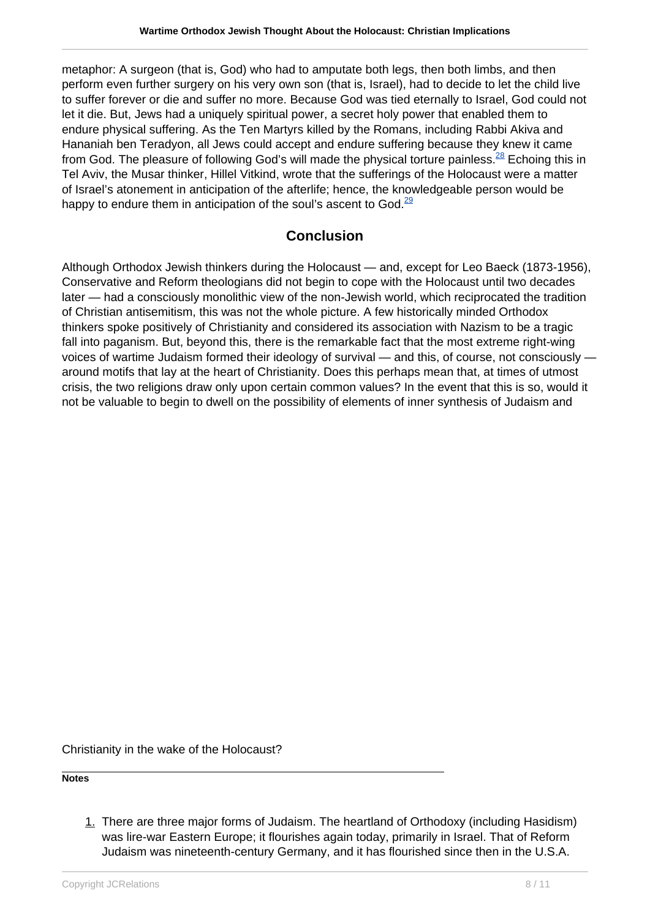metaphor: A surgeon (that is, God) who had to amputate both legs, then both limbs, and then perform even further surgery on his very own son (that is, Israel), had to decide to let the child live to suffer forever or die and suffer no more. Because God was tied eternally to Israel, God could not let it die. But, Jews had a uniquely spiritual power, a secret holy power that enabled them to endure physical suffering. As the Ten Martyrs killed by the Romans, including Rabbi Akiva and Hananiah ben Teradyon, all Jews could accept and endure suffering because they knew it came from God. The pleasure of following God's will made the physical torture painless. <sup>[28](http://#28.)</sup> Echoing this in Tel Aviv, the Musar thinker, Hillel Vitkind, wrote that the sufferings of the Holocaust were a matter of Israel's atonement in anticipation of the afterlife; hence, the knowledgeable person would be happy to endure them in anticipation of the soul's ascent to God. $^{29}$  $^{29}$  $^{29}$ 

### **Conclusion**

Although Orthodox Jewish thinkers during the Holocaust — and, except for Leo Baeck (1873-1956), Conservative and Reform theologians did not begin to cope with the Holocaust until two decades later — had a consciously monolithic view of the non-Jewish world, which reciprocated the tradition of Christian antisemitism, this was not the whole picture. A few historically minded Orthodox thinkers spoke positively of Christianity and considered its association with Nazism to be a tragic fall into paganism. But, beyond this, there is the remarkable fact that the most extreme right-wing voices of wartime Judaism formed their ideology of survival — and this, of course, not consciously around motifs that lay at the heart of Christianity. Does this perhaps mean that, at times of utmost crisis, the two religions draw only upon certain common values? In the event that this is so, would it not be valuable to begin to dwell on the possibility of elements of inner synthesis of Judaism and

Christianity in the wake of the Holocaust?

**Notes**

1. There are three major forms of Judaism. The heartland of Orthodoxy (including Hasidism) was lire-war Eastern Europe; it flourishes again today, primarily in Israel. That of Reform Judaism was nineteenth-century Germany, and it has flourished since then in the U.S.A.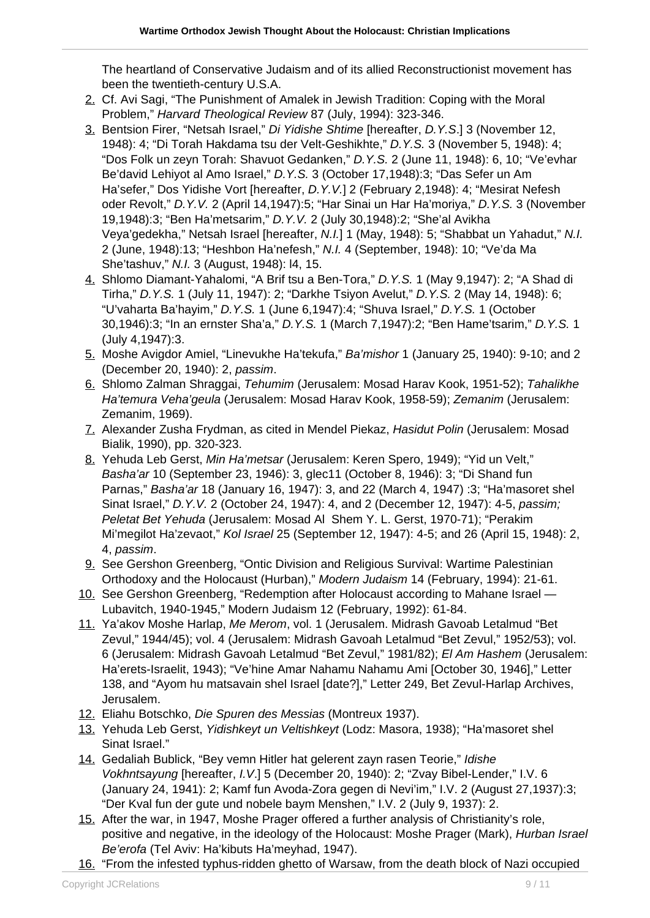The heartland of Conservative Judaism and of its allied Reconstructionist movement has been the twentieth-century U.S.A.

- 2. Cf. Avi Sagi, "The Punishment of Amalek in Jewish Tradition: Coping with the Moral Problem," Harvard Theological Review 87 (July, 1994): 323-346.
- 3. Bentsion Firer, "Netsah Israel," Di Yidishe Shtime [hereafter, D.Y.S.] 3 (November 12, 1948): 4; "Di Torah Hakdama tsu der Velt-Geshikhte," D.Y.S. 3 (November 5, 1948): 4; "Dos Folk un zeyn Torah: Shavuot Gedanken," D.Y.S. 2 (June 11, 1948): 6, 10; "Ve'evhar Be'david Lehiyot al Amo Israel," D.Y.S. 3 (October 17,1948):3; "Das Sefer un Am Ha'sefer," Dos Yidishe Vort [hereafter, D.Y.V.] 2 (February 2,1948): 4; "Mesirat Nefesh oder Revolt," D.Y.V. 2 (April 14,1947):5; "Har Sinai un Har Ha'moriya," D.Y.S. 3 (November 19,1948):3; "Ben Ha'metsarim," D.Y.V. 2 (July 30,1948):2; "She'al Avikha Veya'gedekha," Netsah Israel [hereafter, N.I.] 1 (May, 1948): 5; "Shabbat un Yahadut," N.I. 2 (June, 1948):13; "Heshbon Ha'nefesh," N.I. 4 (September, 1948): 10; "Ve'da Ma She'tashuv," N.I. 3 (August, 1948): l4, 15.
- 4. Shlomo Diamant-Yahalomi, "A Brif tsu a Ben-Tora," D.Y.S. 1 (May 9,1947): 2; "A Shad di Tirha," D.Y.S. 1 (July 11, 1947): 2; "Darkhe Tsiyon Avelut," D.Y.S. 2 (May 14, 1948): 6; "U'vaharta Ba'hayim," D.Y.S. 1 (June 6,1947):4; "Shuva Israel," D.Y.S. 1 (October 30,1946):3; "In an ernster Sha'a," D.Y.S. 1 (March 7,1947):2; "Ben Hame'tsarim," D.Y.S. 1 (July 4,1947):3.
- 5. Moshe Avigdor Amiel, "Linevukhe Ha'tekufa," Ba'mishor 1 (January 25, 1940): 9-10; and 2 (December 20, 1940): 2, passim.
- 6. Shlomo Zalman Shraggai, Tehumim (Jerusalem: Mosad Harav Kook, 1951-52); Tahalikhe Ha'temura Veha'geula (Jerusalem: Mosad Harav Kook, 1958-59); Zemanim (Jerusalem: Zemanim, 1969).
- 7. Alexander Zusha Frydman, as cited in Mendel Piekaz, Hasidut Polin (Jerusalem: Mosad Bialik, 1990), pp. 320-323.
- 8. Yehuda Leb Gerst, Min Ha'metsar (Jerusalem: Keren Spero, 1949); "Yid un Velt," Basha'ar 10 (September 23, 1946): 3, glec11 (October 8, 1946): 3; "Di Shand fun Parnas," Basha'ar 18 (January 16, 1947): 3, and 22 (March 4, 1947) :3; "Ha'masoret shel Sinat Israel," D.Y.V. 2 (October 24, 1947): 4, and 2 (December 12, 1947): 4-5, passim; Peletat Bet Yehuda (Jerusalem: Mosad Al Shem Y. L. Gerst, 1970-71); "Perakim Mi'megilot Ha'zevaot," Kol Israel 25 (September 12, 1947): 4-5; and 26 (April 15, 1948): 2, 4, passim.
- 9. See Gershon Greenberg, "Ontic Division and Religious Survival: Wartime Palestinian Orthodoxy and the Holocaust (Hurban)," Modern Judaism 14 (February, 1994): 21-61.
- 10. See Gershon Greenberg, "Redemption after Holocaust according to Mahane Israel Lubavitch, 1940-1945," Modern Judaism 12 (February, 1992): 61-84.
- 11. Ya'akov Moshe Harlap, Me Merom, vol. 1 (Jerusalem. Midrash Gavoab Letalmud "Bet Zevul," 1944/45); vol. 4 (Jerusalem: Midrash Gavoah Letalmud "Bet Zevul," 1952/53); vol. 6 (Jerusalem: Midrash Gavoah Letalmud "Bet Zevul," 1981/82); El Am Hashem (Jerusalem: Ha'erets-Israelit, 1943); "Ve'hine Amar Nahamu Nahamu Ami [October 30, 1946]," Letter 138, and "Ayom hu matsavain shel Israel [date?]," Letter 249, Bet Zevul-Harlap Archives, Jerusalem.
- 12. Eliahu Botschko, Die Spuren des Messias (Montreux 1937).
- 13. Yehuda Leb Gerst, Yidishkeyt un Veltishkeyt (Lodz: Masora, 1938); "Ha'masoret shel Sinat Israel."
- 14. Gedaliah Bublick, "Bey vemn Hitler hat gelerent zayn rasen Teorie," Idishe Vokhntsayung [hereafter, I.V.] 5 (December 20, 1940): 2; "Zvay Bibel-Lender," I.V. 6 (January 24, 1941): 2; Kamf fun Avoda-Zora gegen di Nevi'im," I.V. 2 (August 27,1937):3; "Der Kval fun der gute und nobele baym Menshen," I.V. 2 (July 9, 1937): 2.
- 15. After the war, in 1947, Moshe Prager offered a further analysis of Christianity's role, positive and negative, in the ideology of the Holocaust: Moshe Prager (Mark), Hurban Israel Be'erofa (Tel Aviv: Ha'kibuts Ha'meyhad, 1947).
- 16. "From the infested typhus-ridden ghetto of Warsaw, from the death block of Nazi occupied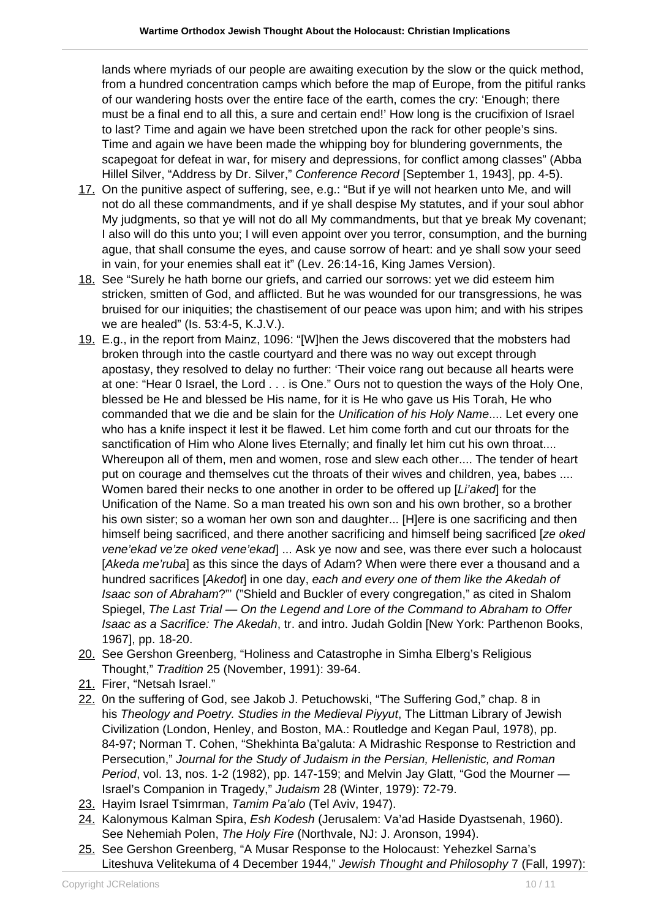lands where myriads of our people are awaiting execution by the slow or the quick method, from a hundred concentration camps which before the map of Europe, from the pitiful ranks of our wandering hosts over the entire face of the earth, comes the cry: 'Enough; there must be a final end to all this, a sure and certain end!' How long is the crucifixion of Israel to last? Time and again we have been stretched upon the rack for other people's sins. Time and again we have been made the whipping boy for blundering governments, the scapegoat for defeat in war, for misery and depressions, for conflict among classes" (Abba Hillel Silver, "Address by Dr. Silver," Conference Record [September 1, 1943], pp. 4-5).

- 17. On the punitive aspect of suffering, see, e.g.: "But if ye will not hearken unto Me, and will not do all these commandments, and if ye shall despise My statutes, and if your soul abhor My judgments, so that ye will not do all My commandments, but that ye break My covenant; I also will do this unto you; I will even appoint over you terror, consumption, and the burning ague, that shall consume the eyes, and cause sorrow of heart: and ye shall sow your seed in vain, for your enemies shall eat it" (Lev. 26:14-16, King James Version).
- 18. See "Surely he hath borne our griefs, and carried our sorrows: yet we did esteem him stricken, smitten of God, and afflicted. But he was wounded for our transgressions, he was bruised for our iniquities; the chastisement of our peace was upon him; and with his stripes we are healed" (Is. 53:4-5, K.J.V.).
- 19. E.g., in the report from Mainz, 1096: "[W]hen the Jews discovered that the mobsters had broken through into the castle courtyard and there was no way out except through apostasy, they resolved to delay no further: 'Their voice rang out because all hearts were at one: "Hear 0 Israel, the Lord . . . is One." Ours not to question the ways of the Holy One, blessed be He and blessed be His name, for it is He who gave us His Torah, He who commanded that we die and be slain for the Unification of his Holy Name.... Let every one who has a knife inspect it lest it be flawed. Let him come forth and cut our throats for the sanctification of Him who Alone lives Eternally; and finally let him cut his own throat.... Whereupon all of them, men and women, rose and slew each other.... The tender of heart put on courage and themselves cut the throats of their wives and children, yea, babes .... Women bared their necks to one another in order to be offered up [Li'aked] for the Unification of the Name. So a man treated his own son and his own brother, so a brother his own sister; so a woman her own son and daughter... [H]ere is one sacrificing and then himself being sacrificed, and there another sacrificing and himself being sacrificed [ze oked] vene'ekad ve'ze oked vene'ekad] ... Ask ye now and see, was there ever such a holocaust [Akeda me'ruba] as this since the days of Adam? When were there ever a thousand and a hundred sacrifices [Akedof] in one day, each and every one of them like the Akedah of Isaac son of Abraham?"' ("Shield and Buckler of every congregation," as cited in Shalom Spiegel, The Last Trial — On the Legend and Lore of the Command to Abraham to Offer Isaac as a Sacrifice: The Akedah, tr. and intro. Judah Goldin [New York: Parthenon Books, 1967], pp. 18-20.
- 20. See Gershon Greenberg, "Holiness and Catastrophe in Simha Elberg's Religious Thought," Tradition 25 (November, 1991): 39-64.
- 21. Firer, "Netsah Israel."
- 22. 0n the suffering of God, see Jakob J. Petuchowski, "The Suffering God," chap. 8 in his Theology and Poetry. Studies in the Medieval Piyyut, The Littman Library of Jewish Civilization (London, Henley, and Boston, MA.: Routledge and Kegan Paul, 1978), pp. 84-97; Norman T. Cohen, "Shekhinta Ba'galuta: A Midrashic Response to Restriction and Persecution," Journal for the Study of Judaism in the Persian, Hellenistic, and Roman Period, vol. 13, nos. 1-2 (1982), pp. 147-159; and Melvin Jay Glatt, "God the Mourner — Israel's Companion in Tragedy," Judaism 28 (Winter, 1979): 72-79.
- 23. Hayim Israel Tsimrman, Tamim Pa'alo (Tel Aviv, 1947).
- 24. Kalonymous Kalman Spira, Esh Kodesh (Jerusalem: Va'ad Haside Dyastsenah, 1960). See Nehemiah Polen, The Holy Fire (Northvale, NJ: J. Aronson, 1994).
- 25. See Gershon Greenberg, "A Musar Response to the Holocaust: Yehezkel Sarna's Liteshuva Velitekuma of 4 December 1944," Jewish Thought and Philosophy 7 (Fall, 1997):